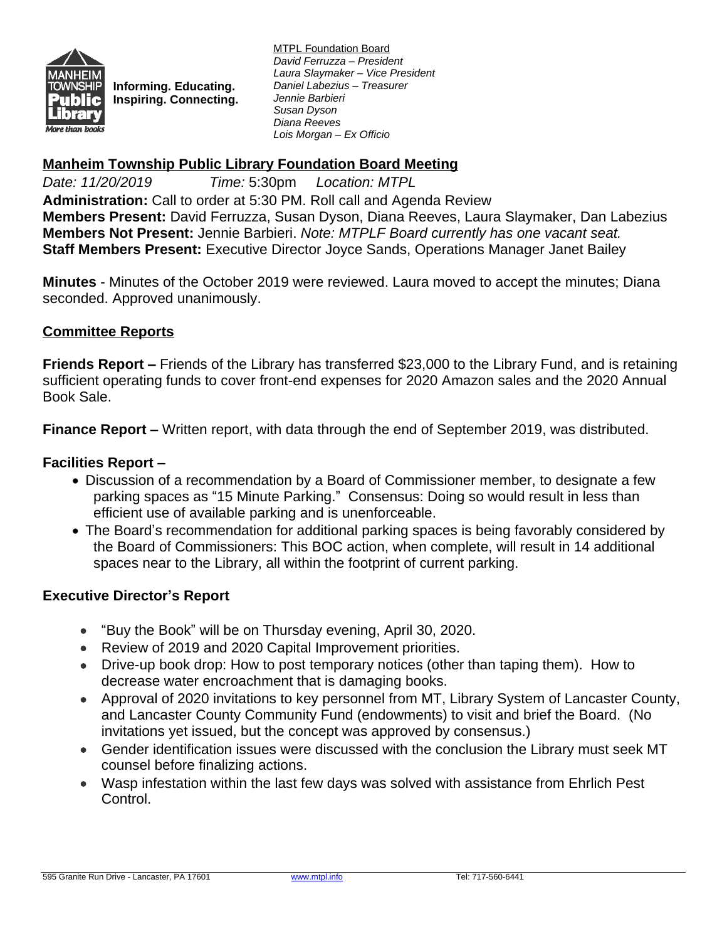

**Informing. Educating. Inspiring. Connecting.** MTPL Foundation Board *David Ferruzza – President Laura Slaymaker – Vice President Daniel Labezius – Treasurer Jennie Barbieri Susan Dyson Diana Reeves Lois Morgan – Ex Officio*

## **Manheim Township Public Library Foundation Board Meeting**

*Date: 11/20/2019 Time:* 5:30pm *Location: MTPL* **Administration:** Call to order at 5:30 PM. Roll call and Agenda Review **Members Present:** David Ferruzza, Susan Dyson, Diana Reeves, Laura Slaymaker, Dan Labezius **Members Not Present:** Jennie Barbieri. *Note: MTPLF Board currently has one vacant seat.* **Staff Members Present:** Executive Director Joyce Sands, Operations Manager Janet Bailey

**Minutes** - Minutes of the October 2019 were reviewed. Laura moved to accept the minutes; Diana seconded. Approved unanimously.

## **Committee Reports**

**Friends Report –** Friends of the Library has transferred \$23,000 to the Library Fund, and is retaining sufficient operating funds to cover front-end expenses for 2020 Amazon sales and the 2020 Annual Book Sale.

**Finance Report –** Written report, with data through the end of September 2019, was distributed.

### **Facilities Report –**

- Discussion of a recommendation by a Board of Commissioner member, to designate a few parking spaces as "15 Minute Parking." Consensus: Doing so would result in less than efficient use of available parking and is unenforceable.
- The Board's recommendation for additional parking spaces is being favorably considered by the Board of Commissioners: This BOC action, when complete, will result in 14 additional spaces near to the Library, all within the footprint of current parking.

#### **Executive Director's Report**

- "Buy the Book" will be on Thursday evening, April 30, 2020.
- Review of 2019 and 2020 Capital Improvement priorities.
- Drive-up book drop: How to post temporary notices (other than taping them). How to decrease water encroachment that is damaging books.
- Approval of 2020 invitations to key personnel from MT, Library System of Lancaster County, and Lancaster County Community Fund (endowments) to visit and brief the Board. (No invitations yet issued, but the concept was approved by consensus.)
- Gender identification issues were discussed with the conclusion the Library must seek MT counsel before finalizing actions.
- Wasp infestation within the last few days was solved with assistance from Ehrlich Pest Control.